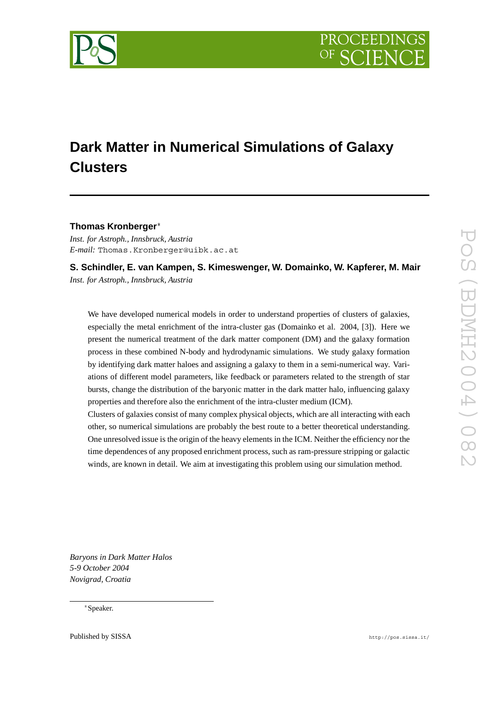

# **Dark Matter in Numerical Simulations of Galaxy Clusters**

## **Thomas Kronberger**

*Inst. for Astroph., Innsbruck, Austria E-mail:* Thomas.Kronberger@uibk.ac.at

**S. Schindler, E. van Kampen, S. Kimeswenger, W. Domainko, W. Kapferer, M. Mair** *Inst. for Astroph., Innsbruck, Austria*

We have developed numerical models in order to understand properties of clusters of galaxies, especially the metal enrichment of the intra-cluster gas (Domainko et al. 2004, [3]). Here we present the numerical treatment of the dark matter component (DM) and the galaxy formation process in these combined N-body and hydrodynamic simulations. We study galaxy formation by identifying dark matter haloes and assigning a galaxy to them in a semi-numerical way. Variations of different model parameters, like feedback or parameters related to the strength of star bursts, change the distribution of the baryonic matter in the dark matter halo, influencing galaxy properties and therefore also the enrichment of the intra-cluster medium (ICM).

Clusters of galaxies consist of many complex physical objects, which are all interacting with each other, so numerical simulations are probably the best route to a better theoretical understanding. One unresolved issue is the origin of the heavy elements in the ICM. Neither the efficiency nor the time dependences of any proposed enrichment process, such as ram-pressure stripping or galactic winds, are known in detail. We aim at investigating this problem using our simulation method.

*Baryons in Dark Matter Halos 5-9 October 2004 Novigrad, Croatia*

Speaker.

Published by SISSA http://pos.sissa.it/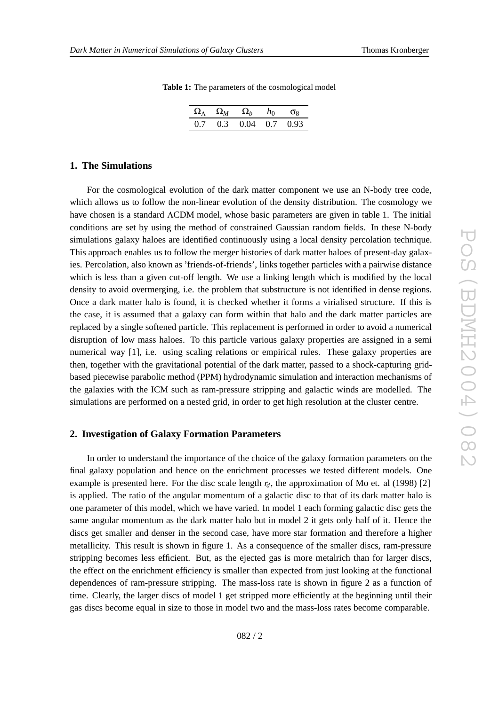| $\Omega_{\Lambda}$ $\Omega_{M}$ $\Omega_{b}$ $h_0$ $\sigma_8$ |  |  |
|---------------------------------------------------------------|--|--|

0.7 0.3 0.04 0.7 0.93

## **Table 1:** The parameters of the cosmological model

#### **1. The Simulations**

For the cosmological evolution of the dark matter component we use an N-body tree code, which allows us to follow the non-linear evolution of the density distribution. The cosmology we have chosen is a standard  $\Lambda$ CDM model, whose basic parameters are given in table 1. The initial conditions are set by using the method of constrained Gaussian random fields. In these N-body simulations galaxy haloes are identified continuously using a local density percolation technique. This approach enables us to follow the merger histories of dark matter haloes of present-day galaxies. Percolation, also known as 'friends-of-friends', links together particles with a pairwise distance which is less than a given cut-off length. We use a linking length which is modified by the local density to avoid overmerging, i.e. the problem that substructure is not identified in dense regions. Once a dark matter halo is found, it is checked whether it forms a virialised structure. If this is the case, it is assumed that a galaxy can form within that halo and the dark matter particles are replaced by a single softened particle. This replacement is performed in order to avoid a numerical disruption of low mass haloes. To this particle various galaxy properties are assigned in a semi numerical way [1], i.e. using scaling relations or empirical rules. These galaxy properties are then, together with the gravitational potential of the dark matter, passed to a shock-capturing gridbased piecewise parabolic method (PPM) hydrodynamic simulation and interaction mechanisms of the galaxies with the ICM such as ram-pressure stripping and galactic winds are modelled. The simulations are performed on a nested grid, in order to get high resolution at the cluster centre.

## **2. Investigation of Galaxy Formation Parameters**

In order to understand the importance of the choice of the galaxy formation parameters on the final galaxy population and hence on the enrichment processes we tested different models. One example is presented here. For the disc scale length  $r_d$ , the approximation of Mo et. al (1998) [2] is applied. The ratio of the angular momentum of a galactic disc to that of its dark matter halo is one parameter of this model, which we have varied. In model 1 each forming galactic disc gets the same angular momentum as the dark matter halo but in model 2 it gets only half of it. Hence the discs get smaller and denser in the second case, have more star formation and therefore a higher metallicity. This result is shown in figure 1. As a consequence of the smaller discs, ram-pressure stripping becomes less efficient. But, as the ejected gas is more metalrich than for larger discs, the effect on the enrichment efficiency is smaller than expected from just looking at the functional dependences of ram-pressure stripping. The mass-loss rate is shown in figure 2 as a function of time. Clearly, the larger discs of model 1 get stripped more efficiently at the beginning until their gas discs become equal in size to those in model two and the mass-loss rates become comparable.